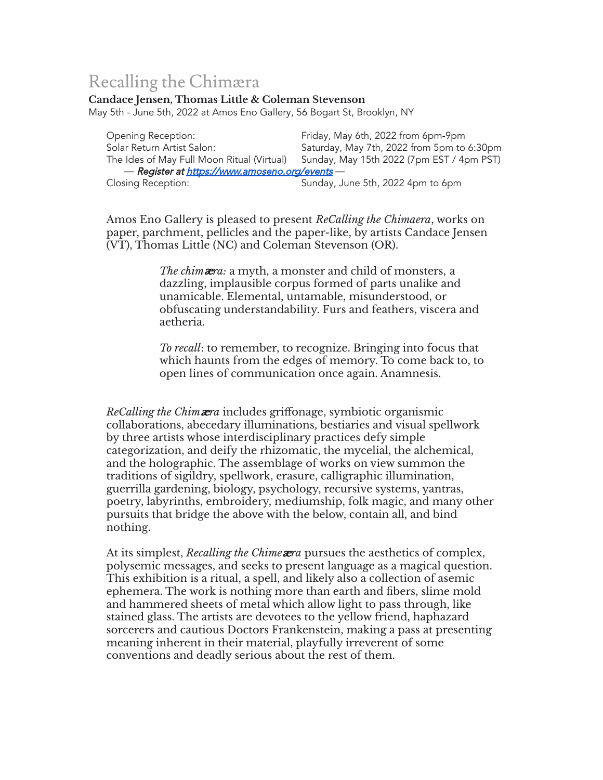## Recalling the Chimæra

## **Candace Jensen, Thomas Little & Coleman Stevenson**

May 5th - June 5th, 2022 at Amos Eno Gallery, 56 Bogart St, Brooklyn, NY

Opening Reception: Friday, May 6th, 2022 from 6pm-9pm Solar Return Artist Salon: Saturday, May 7th, 2022 from 5pm to 6:30pm The Ides of May Full Moon Ritual (Virtual) Sunday, May 15th 2022 (7pm EST / 4pm PST) — **Register at <u><https://www.amoseno.org/events></u>**<br>Closing Reception: Sunday, J Sunday, June 5th, 2022 4pm to 6pm

Amos Eno Gallery is pleased to present *ReCalling the Chimaera*, works on paper, parchment, pellicles and the paper-like, by artists Candace Jensen (VT), Thomas Little (NC) and Coleman Stevenson (OR).

> *The chim*æ*ra:* a myth, a monster and child of monsters, a dazzling, implausible corpus formed of parts unalike and unamicable. Elemental, untamable, misunderstood, or obfuscating understandability. Furs and feathers, viscera and aetheria.

*To recall*: to remember, to recognize. Bringing into focus that which haunts from the edges of memory. To come back to, to open lines of communication once again. Anamnesis.

*ReCalling the Chim*æ*ra* includes griffonage, symbiotic organismic collaborations, abecedary illuminations, bestiaries and visual spellwork by three artists whose interdisciplinary practices defy simple categorization, and deify the rhizomatic, the mycelial, the alchemical, and the holographic. The assemblage of works on view summon the traditions of sigildry, spellwork, erasure, calligraphic illumination, guerrilla gardening, biology, psychology, recursive systems, yantras, poetry, labyrinths, embroidery, mediumship, folk magic, and many other pursuits that bridge the above with the below, contain all, and bind nothing.

At its simplest, *Recalling the Chime*æ*ra* pursues the aesthetics of complex, polysemic messages, and seeks to present language as a magical question. This exhibition is a ritual, a spell, and likely also a collection of asemic ephemera. The work is nothing more than earth and fibers, slime mold and hammered sheets of metal which allow light to pass through, like stained glass. The artists are devotees to the yellow friend, haphazard sorcerers and cautious Doctors Frankenstein, making a pass at presenting meaning inherent in their material, playfully irreverent of some conventions and deadly serious about the rest of them.